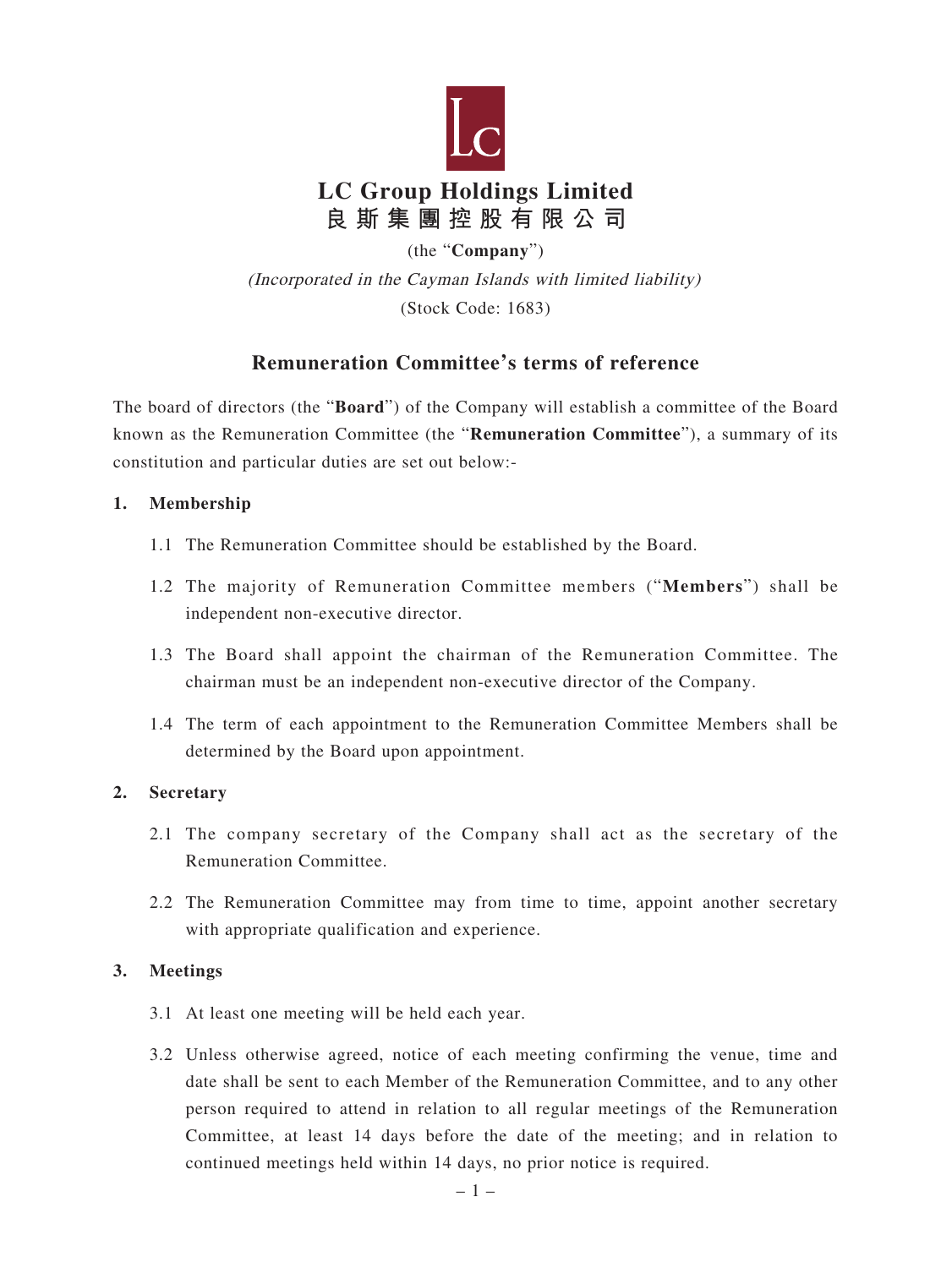

(the "**Company**")

(Incorporated in the Cayman Islands with limited liability) (Stock Code: 1683)

# **Remuneration Committee's terms of reference**

The board of directors (the "**Board**") of the Company will establish a committee of the Board known as the Remuneration Committee (the "**Remuneration Committee**"), a summary of its constitution and particular duties are set out below:-

### **1. Membership**

- 1.1 The Remuneration Committee should be established by the Board.
- 1.2 The majority of Remuneration Committee members ("**Members**") shall be independent non-executive director.
- 1.3 The Board shall appoint the chairman of the Remuneration Committee. The chairman must be an independent non-executive director of the Company.
- 1.4 The term of each appointment to the Remuneration Committee Members shall be determined by the Board upon appointment.

# **2. Secretary**

- 2.1 The company secretary of the Company shall act as the secretary of the Remuneration Committee.
- 2.2 The Remuneration Committee may from time to time, appoint another secretary with appropriate qualification and experience.

# **3. Meetings**

- 3.1 At least one meeting will be held each year.
- 3.2 Unless otherwise agreed, notice of each meeting confirming the venue, time and date shall be sent to each Member of the Remuneration Committee, and to any other person required to attend in relation to all regular meetings of the Remuneration Committee, at least 14 days before the date of the meeting; and in relation to continued meetings held within 14 days, no prior notice is required.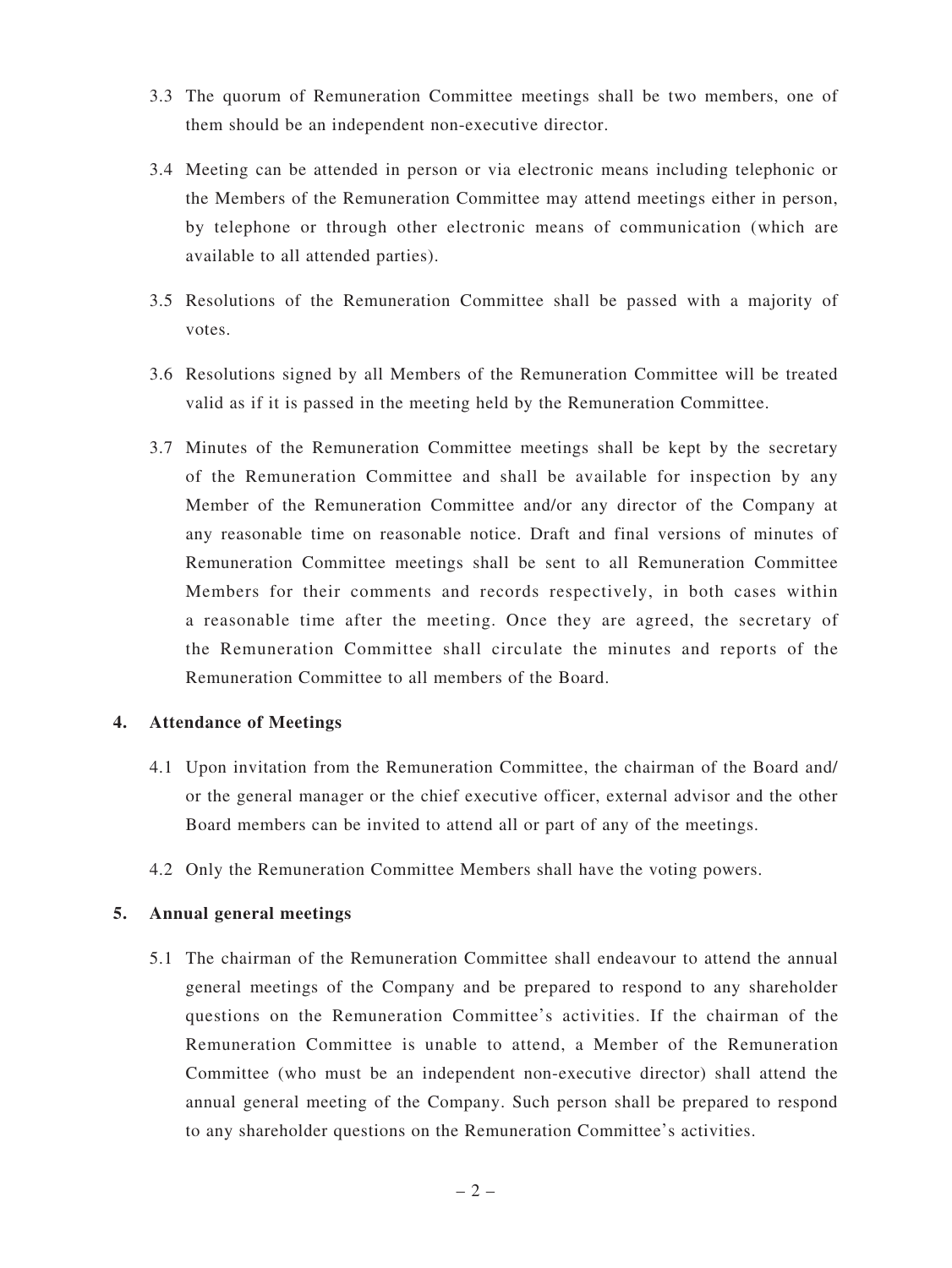- 3.3 The quorum of Remuneration Committee meetings shall be two members, one of them should be an independent non-executive director.
- 3.4 Meeting can be attended in person or via electronic means including telephonic or the Members of the Remuneration Committee may attend meetings either in person, by telephone or through other electronic means of communication (which are available to all attended parties).
- 3.5 Resolutions of the Remuneration Committee shall be passed with a majority of votes.
- 3.6 Resolutions signed by all Members of the Remuneration Committee will be treated valid as if it is passed in the meeting held by the Remuneration Committee.
- 3.7 Minutes of the Remuneration Committee meetings shall be kept by the secretary of the Remuneration Committee and shall be available for inspection by any Member of the Remuneration Committee and/or any director of the Company at any reasonable time on reasonable notice. Draft and final versions of minutes of Remuneration Committee meetings shall be sent to all Remuneration Committee Members for their comments and records respectively, in both cases within a reasonable time after the meeting. Once they are agreed, the secretary of the Remuneration Committee shall circulate the minutes and reports of the Remuneration Committee to all members of the Board.

#### **4. Attendance of Meetings**

- 4.1 Upon invitation from the Remuneration Committee, the chairman of the Board and/ or the general manager or the chief executive officer, external advisor and the other Board members can be invited to attend all or part of any of the meetings.
- 4.2 Only the Remuneration Committee Members shall have the voting powers.

#### **5. Annual general meetings**

5.1 The chairman of the Remuneration Committee shall endeavour to attend the annual general meetings of the Company and be prepared to respond to any shareholder questions on the Remuneration Committee's activities. If the chairman of the Remuneration Committee is unable to attend, a Member of the Remuneration Committee (who must be an independent non-executive director) shall attend the annual general meeting of the Company. Such person shall be prepared to respond to any shareholder questions on the Remuneration Committee's activities.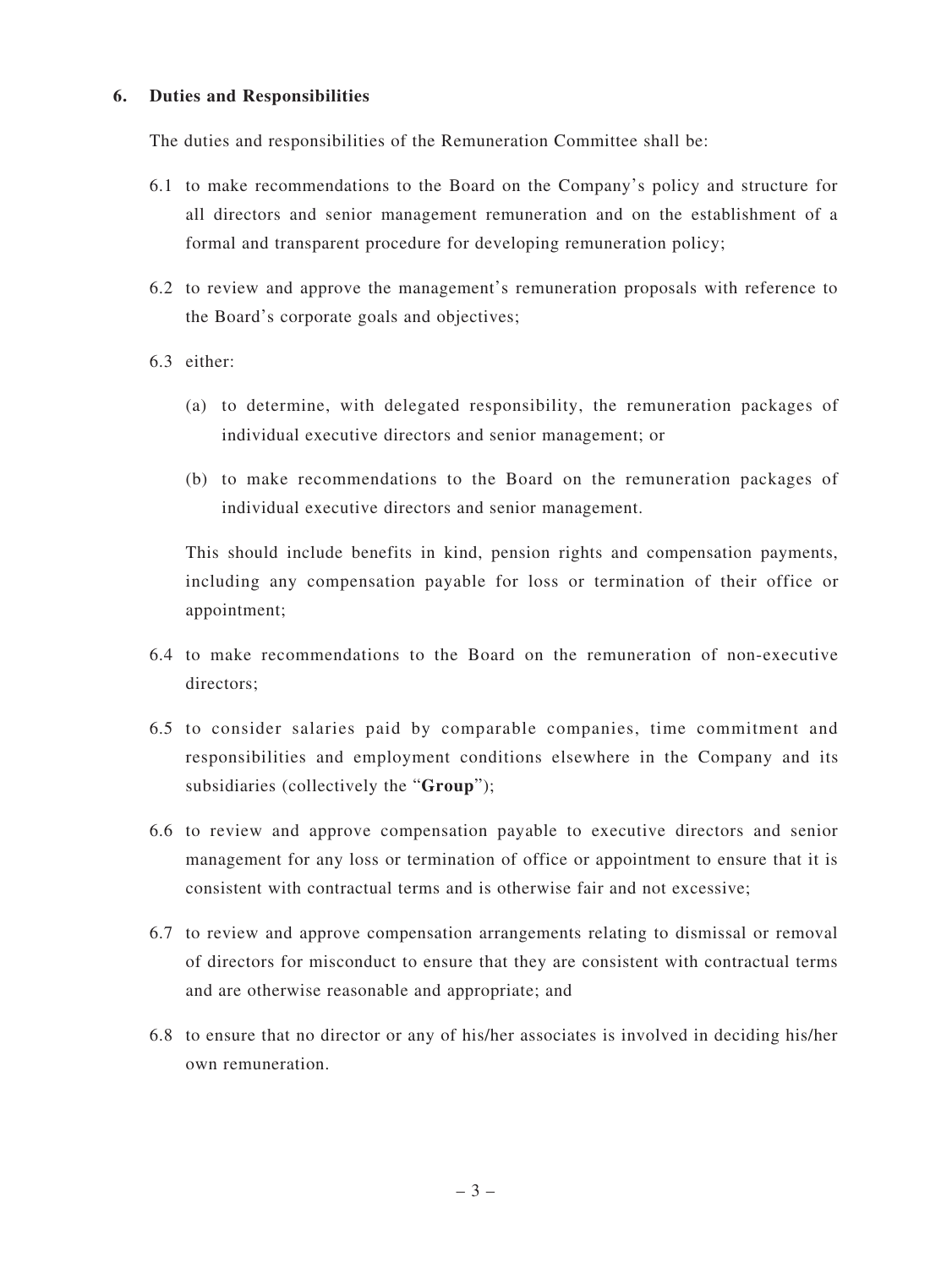#### **6. Duties and Responsibilities**

The duties and responsibilities of the Remuneration Committee shall be:

- 6.1 to make recommendations to the Board on the Company's policy and structure for all directors and senior management remuneration and on the establishment of a formal and transparent procedure for developing remuneration policy;
- 6.2 to review and approve the management's remuneration proposals with reference to the Board's corporate goals and objectives;
- 6.3 either:
	- (a) to determine, with delegated responsibility, the remuneration packages of individual executive directors and senior management; or
	- (b) to make recommendations to the Board on the remuneration packages of individual executive directors and senior management.

This should include benefits in kind, pension rights and compensation payments, including any compensation payable for loss or termination of their office or appointment;

- 6.4 to make recommendations to the Board on the remuneration of non-executive directors;
- 6.5 to consider salaries paid by comparable companies, time commitment and responsibilities and employment conditions elsewhere in the Company and its subsidiaries (collectively the "**Group**");
- 6.6 to review and approve compensation payable to executive directors and senior management for any loss or termination of office or appointment to ensure that it is consistent with contractual terms and is otherwise fair and not excessive;
- 6.7 to review and approve compensation arrangements relating to dismissal or removal of directors for misconduct to ensure that they are consistent with contractual terms and are otherwise reasonable and appropriate; and
- 6.8 to ensure that no director or any of his/her associates is involved in deciding his/her own remuneration.